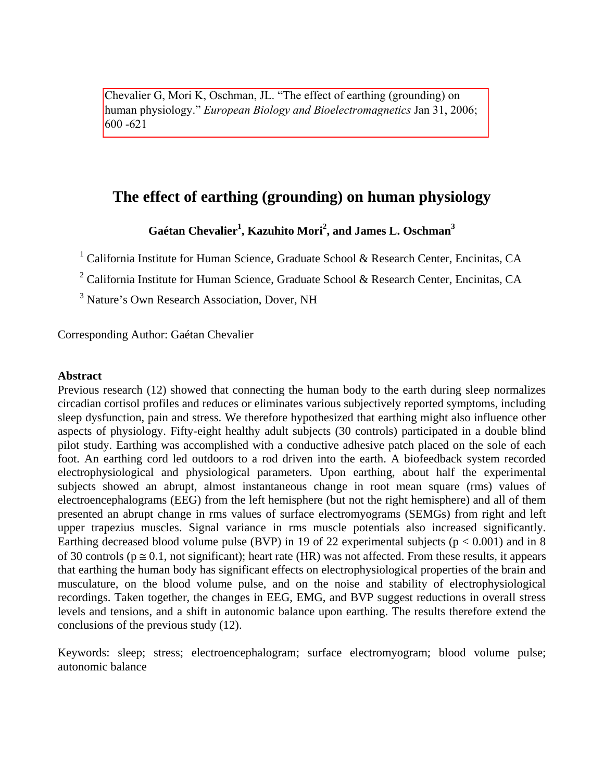Chevalier G, Mori K, Oschman, JL. "The effect of earthing (grounding) on human physiology." *European Biology and Bioelectromagnetics* Jan 31, 2006; 600 -621

# **The effect of earthing (grounding) on human physiology**

# **Gaétan Chevalier<sup>1</sup> , Kazuhito Mori<sup>2</sup> , and James L. Oschman<sup>3</sup>**

<sup>1</sup> California Institute for Human Science, Graduate School & Research Center, Encinitas, CA

<sup>2</sup> California Institute for Human Science, Graduate School & Research Center, Encinitas, CA

<sup>3</sup> Nature's Own Research Association, Dover, NH

Corresponding Author: Gaétan Chevalier

### **Abstract**

Previous research (12) showed that connecting the human body to the earth during sleep normalizes circadian cortisol profiles and reduces or eliminates various subjectively reported symptoms, including sleep dysfunction, pain and stress. We therefore hypothesized that earthing might also influence other aspects of physiology. Fifty-eight healthy adult subjects (30 controls) participated in a double blind pilot study. Earthing was accomplished with a conductive adhesive patch placed on the sole of each foot. An earthing cord led outdoors to a rod driven into the earth. A biofeedback system recorded electrophysiological and physiological parameters. Upon earthing, about half the experimental subjects showed an abrupt, almost instantaneous change in root mean square (rms) values of electroencephalograms (EEG) from the left hemisphere (but not the right hemisphere) and all of them presented an abrupt change in rms values of surface electromyograms (SEMGs) from right and left upper trapezius muscles. Signal variance in rms muscle potentials also increased significantly. Earthing decreased blood volume pulse (BVP) in 19 of 22 experimental subjects ( $p < 0.001$ ) and in 8 of 30 controls ( $p \approx 0.1$ , not significant); heart rate (HR) was not affected. From these results, it appears that earthing the human body has significant effects on electrophysiological properties of the brain and musculature, on the blood volume pulse, and on the noise and stability of electrophysiological recordings. Taken together, the changes in EEG, EMG, and BVP suggest reductions in overall stress levels and tensions, and a shift in autonomic balance upon earthing. The results therefore extend the conclusions of the previous study (12).

Keywords: sleep; stress; electroencephalogram; surface electromyogram; blood volume pulse; autonomic balance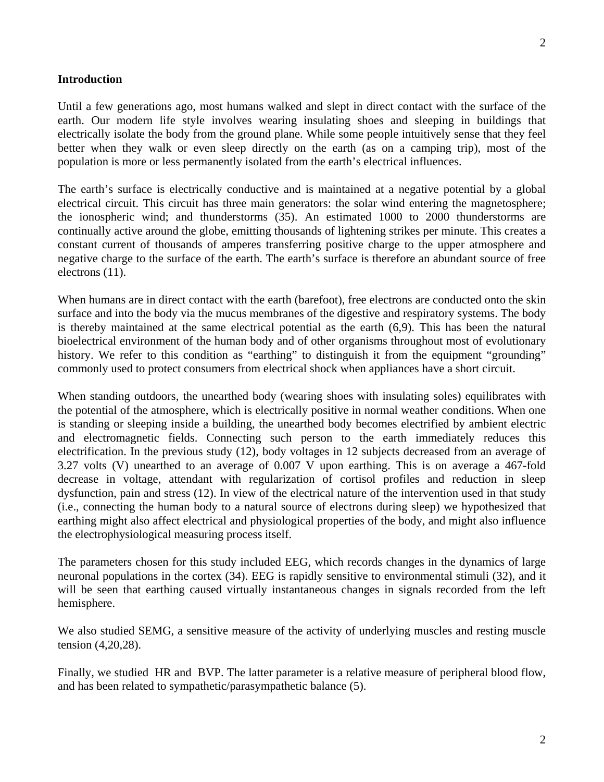#### **Introduction**

Until a few generations ago, most humans walked and slept in direct contact with the surface of the earth. Our modern life style involves wearing insulating shoes and sleeping in buildings that electrically isolate the body from the ground plane. While some people intuitively sense that they feel better when they walk or even sleep directly on the earth (as on a camping trip), most of the population is more or less permanently isolated from the earth's electrical influences.

The earth's surface is electrically conductive and is maintained at a negative potential by a global electrical circuit. This circuit has three main generators: the solar wind entering the magnetosphere; the ionospheric wind; and thunderstorms (35). An estimated 1000 to 2000 thunderstorms are continually active around the globe, emitting thousands of lightening strikes per minute. This creates a constant current of thousands of amperes transferring positive charge to the upper atmosphere and negative charge to the surface of the earth. The earth's surface is therefore an abundant source of free electrons (11).

When humans are in direct contact with the earth (barefoot), free electrons are conducted onto the skin surface and into the body via the mucus membranes of the digestive and respiratory systems. The body is thereby maintained at the same electrical potential as the earth (6,9). This has been the natural bioelectrical environment of the human body and of other organisms throughout most of evolutionary history. We refer to this condition as "earthing" to distinguish it from the equipment "grounding" commonly used to protect consumers from electrical shock when appliances have a short circuit.

When standing outdoors, the unearthed body (wearing shoes with insulating soles) equilibrates with the potential of the atmosphere, which is electrically positive in normal weather conditions. When one is standing or sleeping inside a building, the unearthed body becomes electrified by ambient electric and electromagnetic fields. Connecting such person to the earth immediately reduces this electrification. In the previous study (12), body voltages in 12 subjects decreased from an average of 3.27 volts (V) unearthed to an average of 0.007 V upon earthing. This is on average a 467-fold decrease in voltage, attendant with regularization of cortisol profiles and reduction in sleep dysfunction, pain and stress (12). In view of the electrical nature of the intervention used in that study (i.e., connecting the human body to a natural source of electrons during sleep) we hypothesized that earthing might also affect electrical and physiological properties of the body, and might also influence the electrophysiological measuring process itself.

The parameters chosen for this study included EEG, which records changes in the dynamics of large neuronal populations in the cortex (34). EEG is rapidly sensitive to environmental stimuli (32), and it will be seen that earthing caused virtually instantaneous changes in signals recorded from the left hemisphere.

We also studied SEMG, a sensitive measure of the activity of underlying muscles and resting muscle tension (4,20,28).

Finally, we studied HR and BVP. The latter parameter is a relative measure of peripheral blood flow, and has been related to sympathetic/parasympathetic balance (5).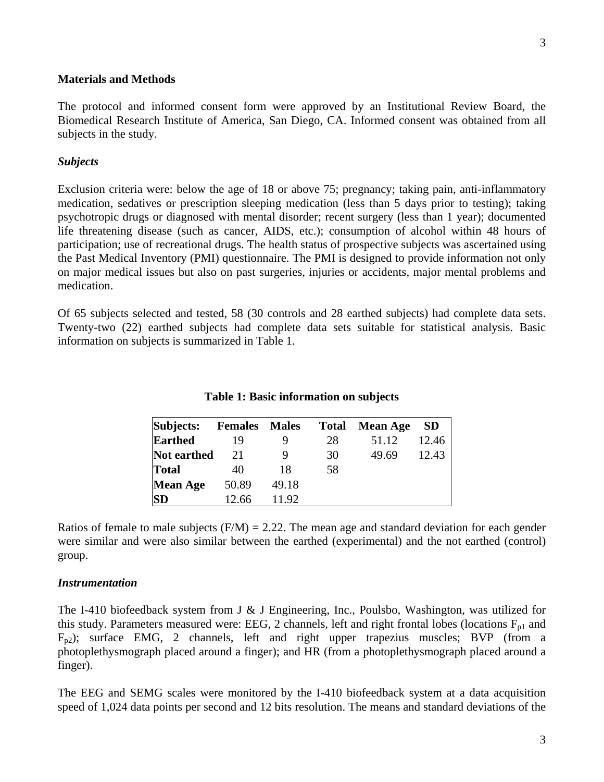#### **Materials and Methods**

The protocol and informed consent form were approved by an Institutional Review Board, the Biomedical Research Institute of America, San Diego, CA. Informed consent was obtained from all subjects in the study.

### *Subjects*

Exclusion criteria were: below the age of 18 or above 75; pregnancy; taking pain, anti-inflammatory medication, sedatives or prescription sleeping medication (less than 5 days prior to testing); taking psychotropic drugs or diagnosed with mental disorder; recent surgery (less than 1 year); documented life threatening disease (such as cancer, AIDS, etc.); consumption of alcohol within 48 hours of participation; use of recreational drugs. The health status of prospective subjects was ascertained using the Past Medical Inventory (PMI) questionnaire. The PMI is designed to provide information not only on major medical issues but also on past surgeries, injuries or accidents, major mental problems and medication.

Of 65 subjects selected and tested, 58 (30 controls and 28 earthed subjects) had complete data sets. Twenty-two (22) earthed subjects had complete data sets suitable for statistical analysis. Basic information on subjects is summarized in Table 1.

| Subjects:       | <b>Females</b> Males |       | <b>Total</b> | <b>Mean Age</b> | <b>SD</b> |
|-----------------|----------------------|-------|--------------|-----------------|-----------|
| <b>Earthed</b>  | 19                   |       | 28           | 51.12           | 12.46     |
| Not earthed     | 21                   | Q     | 30           | 49.69           | 12.43     |
| <b>Total</b>    | 40                   | 18    | 58           |                 |           |
| <b>Mean Age</b> | 50.89                | 49.18 |              |                 |           |
| <b>SD</b>       | 12.66                | 11.92 |              |                 |           |

### **Table 1: Basic information on subjects**

Ratios of female to male subjects  $(F/M) = 2.22$ . The mean age and standard deviation for each gender were similar and were also similar between the earthed (experimental) and the not earthed (control) group.

### *Instrumentation*

The I-410 biofeedback system from J & J Engineering, Inc., Poulsbo, Washington, was utilized for this study. Parameters measured were: EEG, 2 channels, left and right frontal lobes (locations  $F_{p1}$  and  $F_{p2}$ ); surface EMG, 2 channels, left and right upper trapezius muscles; BVP (from a photoplethysmograph placed around a finger); and HR (from a photoplethysmograph placed around a finger).

The EEG and SEMG scales were monitored by the I-410 biofeedback system at a data acquisition speed of 1,024 data points per second and 12 bits resolution. The means and standard deviations of the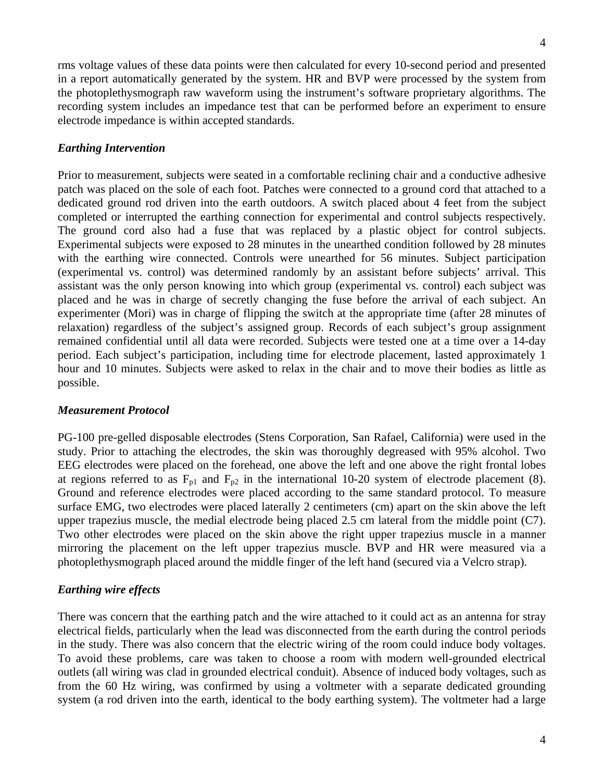4

rms voltage values of these data points were then calculated for every 10-second period and presented in a report automatically generated by the system. HR and BVP were processed by the system from the photoplethysmograph raw waveform using the instrument's software proprietary algorithms. The recording system includes an impedance test that can be performed before an experiment to ensure electrode impedance is within accepted standards.

### *Earthing Intervention*

Prior to measurement, subjects were seated in a comfortable reclining chair and a conductive adhesive patch was placed on the sole of each foot. Patches were connected to a ground cord that attached to a dedicated ground rod driven into the earth outdoors. A switch placed about 4 feet from the subject completed or interrupted the earthing connection for experimental and control subjects respectively. The ground cord also had a fuse that was replaced by a plastic object for control subjects. Experimental subjects were exposed to 28 minutes in the unearthed condition followed by 28 minutes with the earthing wire connected. Controls were unearthed for 56 minutes. Subject participation (experimental vs. control) was determined randomly by an assistant before subjects' arrival. This assistant was the only person knowing into which group (experimental vs. control) each subject was placed and he was in charge of secretly changing the fuse before the arrival of each subject. An experimenter (Mori) was in charge of flipping the switch at the appropriate time (after 28 minutes of relaxation) regardless of the subject's assigned group. Records of each subject's group assignment remained confidential until all data were recorded. Subjects were tested one at a time over a 14-day period. Each subject's participation, including time for electrode placement, lasted approximately 1 hour and 10 minutes. Subjects were asked to relax in the chair and to move their bodies as little as possible.

#### *Measurement Protocol*

PG-100 pre-gelled disposable electrodes (Stens Corporation, San Rafael, California) were used in the study. Prior to attaching the electrodes, the skin was thoroughly degreased with 95% alcohol. Two EEG electrodes were placed on the forehead, one above the left and one above the right frontal lobes at regions referred to as  $F_{p1}$  and  $F_{p2}$  in the international 10-20 system of electrode placement (8). Ground and reference electrodes were placed according to the same standard protocol. To measure surface EMG, two electrodes were placed laterally 2 centimeters (cm) apart on the skin above the left upper trapezius muscle, the medial electrode being placed 2.5 cm lateral from the middle point (C7). Two other electrodes were placed on the skin above the right upper trapezius muscle in a manner mirroring the placement on the left upper trapezius muscle. BVP and HR were measured via a photoplethysmograph placed around the middle finger of the left hand (secured via a Velcro strap).

#### *Earthing wire effects*

There was concern that the earthing patch and the wire attached to it could act as an antenna for stray electrical fields, particularly when the lead was disconnected from the earth during the control periods in the study. There was also concern that the electric wiring of the room could induce body voltages. To avoid these problems, care was taken to choose a room with modern well-grounded electrical outlets (all wiring was clad in grounded electrical conduit). Absence of induced body voltages, such as from the 60 Hz wiring, was confirmed by using a voltmeter with a separate dedicated grounding system (a rod driven into the earth, identical to the body earthing system). The voltmeter had a large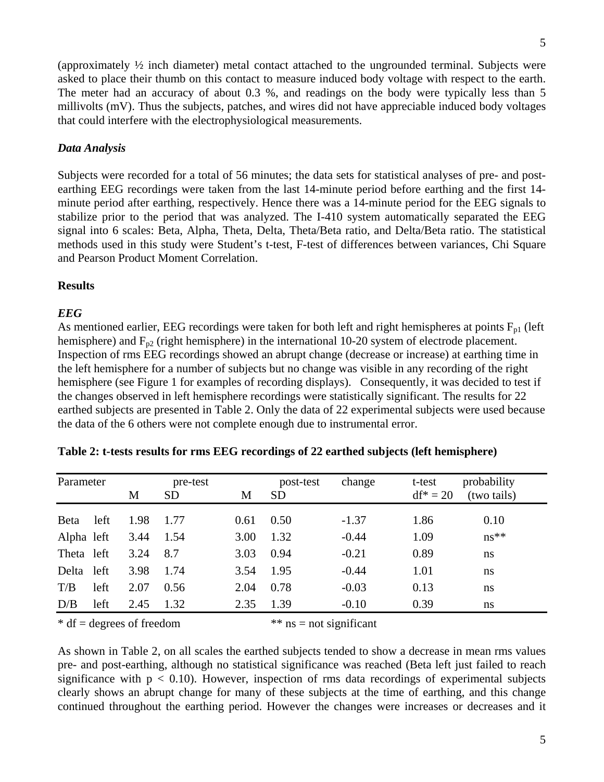(approximately ½ inch diameter) metal contact attached to the ungrounded terminal. Subjects were asked to place their thumb on this contact to measure induced body voltage with respect to the earth. The meter had an accuracy of about 0.3 %, and readings on the body were typically less than 5 millivolts (mV). Thus the subjects, patches, and wires did not have appreciable induced body voltages that could interfere with the electrophysiological measurements.

# *Data Analysis*

Subjects were recorded for a total of 56 minutes; the data sets for statistical analyses of pre- and postearthing EEG recordings were taken from the last 14-minute period before earthing and the first 14 minute period after earthing, respectively. Hence there was a 14-minute period for the EEG signals to stabilize prior to the period that was analyzed. The I-410 system automatically separated the EEG signal into 6 scales: Beta, Alpha, Theta, Delta, Theta/Beta ratio, and Delta/Beta ratio. The statistical methods used in this study were Student's t-test, F-test of differences between variances, Chi Square and Pearson Product Moment Correlation.

# **Results**

# *EEG*

As mentioned earlier, EEG recordings were taken for both left and right hemispheres at points  $F_{p1}$  (left hemisphere) and  $F_{p2}$  (right hemisphere) in the international 10-20 system of electrode placement. Inspection of rms EEG recordings showed an abrupt change (decrease or increase) at earthing time in the left hemisphere for a number of subjects but no change was visible in any recording of the right hemisphere (see Figure 1 for examples of recording displays). Consequently, it was decided to test if the changes observed in left hemisphere recordings were statistically significant. The results for 22 earthed subjects are presented in Table 2. Only the data of 22 experimental subjects were used because the data of the 6 others were not complete enough due to instrumental error.

| Parameter    |      |      | pre-test  |      | post-test | change  | t-test      | probability |
|--------------|------|------|-----------|------|-----------|---------|-------------|-------------|
|              |      | M    | <b>SD</b> | M    | <b>SD</b> |         | $df^* = 20$ | (two tails) |
| <b>B</b> eta | left | 1.98 | 1.77      | 0.61 | 0.50      | $-1.37$ | 1.86        | 0.10        |
| Alpha left   |      | 3.44 | 1.54      | 3.00 | 1.32      | $-0.44$ | 1.09        | $ns**$      |
| Theta left   |      | 3.24 | 8.7       | 3.03 | 0.94      | $-0.21$ | 0.89        | ns          |
| Delta left   |      | 3.98 | 1.74      | 3.54 | 1.95      | $-0.44$ | 1.01        | ns          |
| T/B          | left | 2.07 | 0.56      | 2.04 | 0.78      | $-0.03$ | 0.13        | ns          |
| D/B          | left | 2.45 | 1.32      | 2.35 | 1.39      | $-0.10$ | 0.39        | ns          |

| Table 2: t-tests results for rms EEG recordings of 22 earthed subjects (left hemisphere) |  |  |
|------------------------------------------------------------------------------------------|--|--|
|                                                                                          |  |  |

 $* df = degrees of freedom$   $**$  ns = not significant

As shown in Table 2, on all scales the earthed subjects tended to show a decrease in mean rms values pre- and post-earthing, although no statistical significance was reached (Beta left just failed to reach significance with  $p < 0.10$ ). However, inspection of rms data recordings of experimental subjects clearly shows an abrupt change for many of these subjects at the time of earthing, and this change continued throughout the earthing period. However the changes were increases or decreases and it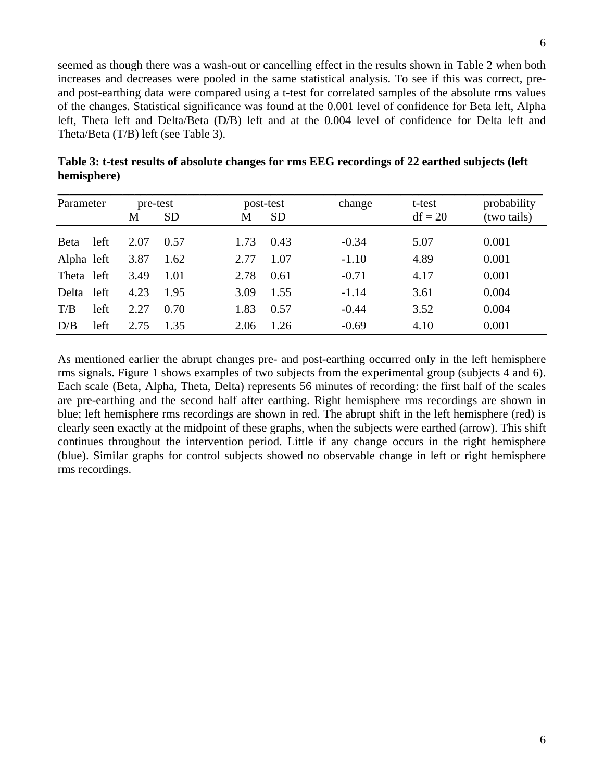seemed as though there was a wash-out or cancelling effect in the results shown in Table 2 when both increases and decreases were pooled in the same statistical analysis. To see if this was correct, preand post-earthing data were compared using a t-test for correlated samples of the absolute rms values of the changes. Statistical significance was found at the 0.001 level of confidence for Beta left, Alpha left, Theta left and Delta/Beta (D/B) left and at the 0.004 level of confidence for Delta left and Theta/Beta (T/B) left (see Table 3).

| Parameter    |      |      | pre-test  |      | post-test | change  | t-test    | probability |
|--------------|------|------|-----------|------|-----------|---------|-----------|-------------|
|              |      | М    | <b>SD</b> | M    | <b>SD</b> |         | $df = 20$ | (two tails) |
| <b>B</b> eta | left | 2.07 | 0.57      | 1.73 | 0.43      | $-0.34$ | 5.07      | 0.001       |
| Alpha left   |      | 3.87 | 1.62      | 2.77 | 1.07      | $-1.10$ | 4.89      | 0.001       |
| Theta left   |      | 3.49 | 1.01      | 2.78 | 0.61      | $-0.71$ | 4.17      | 0.001       |
| Delta        | left | 4.23 | 1.95      | 3.09 | 1.55      | $-1.14$ | 3.61      | 0.004       |
| T/B          | left | 2.27 | 0.70      | 1.83 | 0.57      | $-0.44$ | 3.52      | 0.004       |
| D/B          | left | 2.75 | 1.35      | 2.06 | 1.26      | $-0.69$ | 4.10      | 0.001       |

**Table 3: t-test results of absolute changes for rms EEG recordings of 22 earthed subjects (left hemisphere)** 

As mentioned earlier the abrupt changes pre- and post-earthing occurred only in the left hemisphere rms signals. Figure 1 shows examples of two subjects from the experimental group (subjects 4 and 6). Each scale (Beta, Alpha, Theta, Delta) represents 56 minutes of recording: the first half of the scales are pre-earthing and the second half after earthing. Right hemisphere rms recordings are shown in blue; left hemisphere rms recordings are shown in red. The abrupt shift in the left hemisphere (red) is clearly seen exactly at the midpoint of these graphs, when the subjects were earthed (arrow). This shift continues throughout the intervention period. Little if any change occurs in the right hemisphere (blue). Similar graphs for control subjects showed no observable change in left or right hemisphere rms recordings.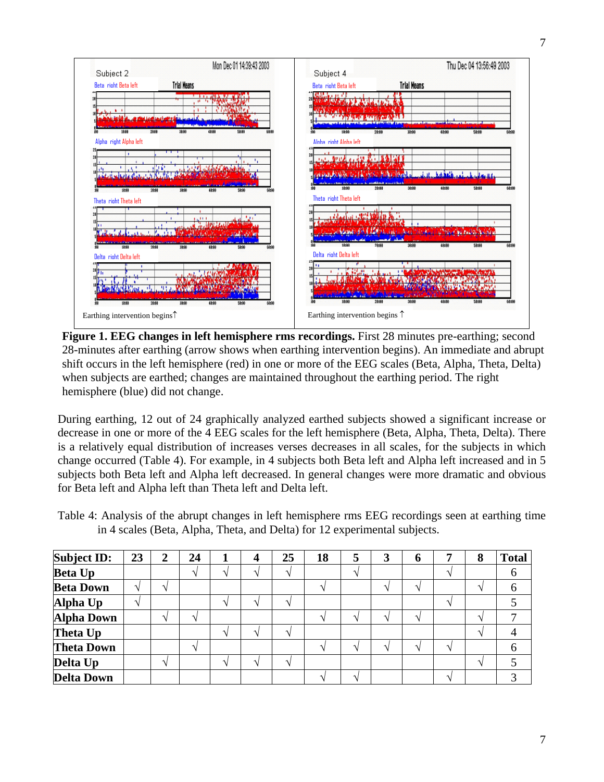

**Figure 1. EEG changes in left hemisphere rms recordings.** First 28 minutes pre-earthing; second 28-minutes after earthing (arrow shows when earthing intervention begins). An immediate and abrupt shift occurs in the left hemisphere (red) in one or more of the EEG scales (Beta, Alpha, Theta, Delta) when subjects are earthed; changes are maintained throughout the earthing period. The right hemisphere (blue) did not change.

During earthing, 12 out of 24 graphically analyzed earthed subjects showed a significant increase or decrease in one or more of the 4 EEG scales for the left hemisphere (Beta, Alpha, Theta, Delta). There is a relatively equal distribution of increases verses decreases in all scales, for the subjects in which change occurred (Table 4). For example, in 4 subjects both Beta left and Alpha left increased and in 5 subjects both Beta left and Alpha left decreased. In general changes were more dramatic and obvious for Beta left and Alpha left than Theta left and Delta left.

Table 4: Analysis of the abrupt changes in left hemisphere rms EEG recordings seen at earthing time in 4 scales (Beta, Alpha, Theta, and Delta) for 12 experimental subjects.

| <b>Subject ID:</b> | 23 | 2                        | 24 |                      | 4                        | 25                | 18 | 3 | 6                    | - | 8 | <b>Total</b> |
|--------------------|----|--------------------------|----|----------------------|--------------------------|-------------------|----|---|----------------------|---|---|--------------|
| <b>Beta Up</b>     |    |                          |    | $\blacktriangleleft$ | $\overline{\phantom{a}}$ | $\Delta$          |    |   |                      | ᄾ |   | 6            |
| <b>Beta Down</b>   |    | $\Lambda$                |    |                      |                          |                   |    |   |                      |   |   |              |
| Alpha Up           |    |                          |    |                      |                          |                   |    |   |                      |   |   |              |
| <b>Alpha Down</b>  |    |                          |    |                      |                          |                   |    |   |                      |   | へ |              |
| Theta Up           |    |                          |    |                      |                          | ᄾ                 |    |   |                      |   |   |              |
| <b>Theta Down</b>  |    |                          |    |                      |                          |                   |    |   | $\blacktriangleleft$ | ᄾ |   |              |
| Delta Up           |    | $\overline{\phantom{a}}$ |    | $\blacktriangleleft$ |                          | $\mathbf \Lambda$ |    |   |                      |   | ́ |              |
| <b>Delta Down</b>  |    |                          |    |                      |                          |                   |    |   |                      | ᄾ |   |              |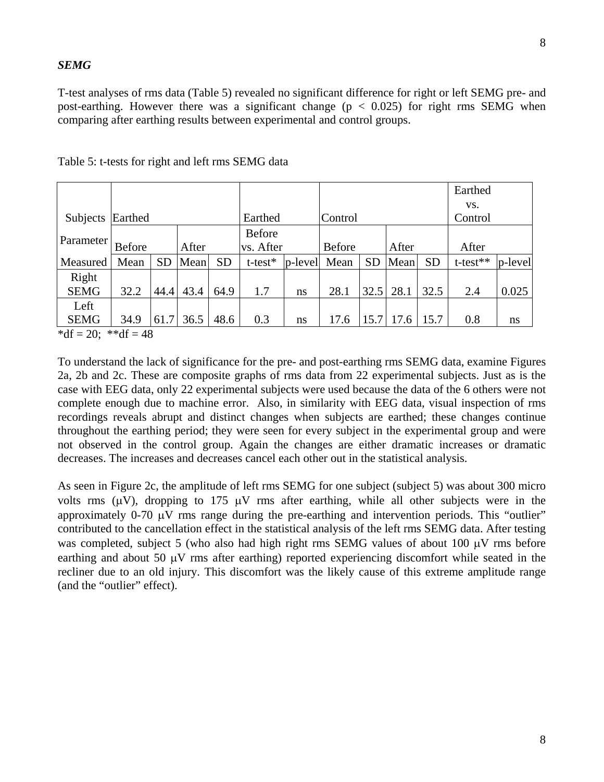### *SEMG*

T-test analyses of rms data (Table 5) revealed no significant difference for right or left SEMG pre- and post-earthing. However there was a significant change ( $p < 0.025$ ) for right rms SEMG when comparing after earthing results between experimental and control groups.

|                            |               |           |       |           |               |               |               |           |       |           | Earthed        |             |
|----------------------------|---------------|-----------|-------|-----------|---------------|---------------|---------------|-----------|-------|-----------|----------------|-------------|
|                            |               |           |       |           |               |               |               |           |       |           | VS.            |             |
| Subjects                   | Earthed       |           |       |           | Earthed       |               | Control       |           |       |           | Control        |             |
|                            |               |           |       |           | <b>Before</b> |               |               |           |       |           |                |             |
| Parameter                  | <b>Before</b> |           | After |           | vs. After     |               | <b>Before</b> |           | After |           | After          |             |
| Measured                   | Mean          | <b>SD</b> | Mean  | <b>SD</b> | $t$ -test $*$ | $p$ -level    | Mean          | <b>SD</b> | Mean  | <b>SD</b> | $t$ -test $**$ | $ p$ -level |
| Right                      |               |           |       |           |               |               |               |           |       |           |                |             |
| <b>SEMG</b>                | 32.2          | 44.4      | 43.4  | 64.9      | 1.7           | <sub>ns</sub> | 28.1          | 32.5      | 28.1  | 32.5      | 2.4            | 0.025       |
| Left                       |               |           |       |           |               |               |               |           |       |           |                |             |
| <b>SEMG</b>                | 34.9          | 61.7      | 36.5  | 48.6      | 0.3           | ns            | 17.6          | 15.7      | 17.6  | 15.7      | 0.8            | ns          |
| * $4f = 20$ , ** $4f = 40$ |               |           |       |           |               |               |               |           |       |           |                |             |

 $\det = 20$ ; \*\*df = 48

To understand the lack of significance for the pre- and post-earthing rms SEMG data, examine Figures 2a, 2b and 2c. These are composite graphs of rms data from 22 experimental subjects. Just as is the case with EEG data, only 22 experimental subjects were used because the data of the 6 others were not complete enough due to machine error. Also, in similarity with EEG data, visual inspection of rms recordings reveals abrupt and distinct changes when subjects are earthed; these changes continue throughout the earthing period; they were seen for every subject in the experimental group and were not observed in the control group. Again the changes are either dramatic increases or dramatic decreases. The increases and decreases cancel each other out in the statistical analysis.

As seen in Figure 2c, the amplitude of left rms SEMG for one subject (subject 5) was about 300 micro volts rms  $(\mu V)$ , dropping to 175  $\mu V$  rms after earthing, while all other subjects were in the approximately 0-70 μV rms range during the pre-earthing and intervention periods. This "outlier" contributed to the cancellation effect in the statistical analysis of the left rms SEMG data. After testing was completed, subject 5 (who also had high right rms SEMG values of about 100 μV rms before earthing and about 50  $\mu$ V rms after earthing) reported experiencing discomfort while seated in the recliner due to an old injury. This discomfort was the likely cause of this extreme amplitude range (and the "outlier" effect).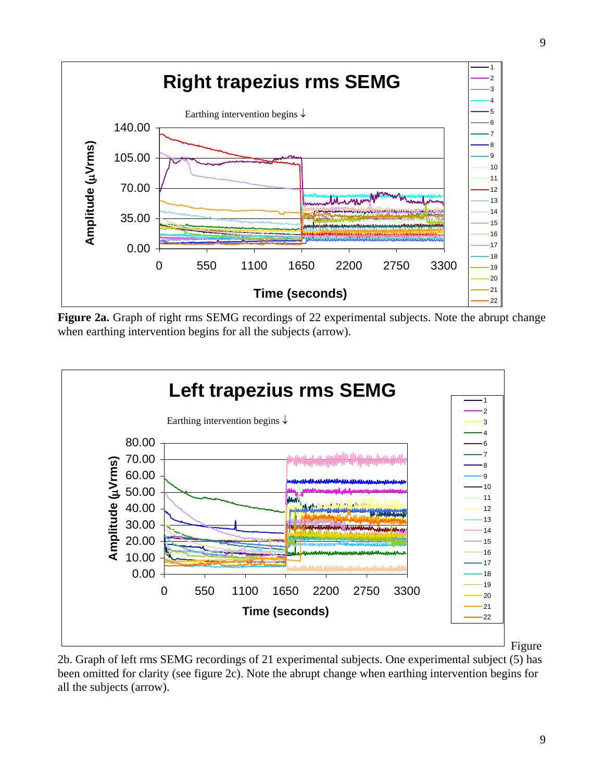

**Figure 2a.** Graph of right rms SEMG recordings of 22 experimental subjects. Note the abrupt change when earthing intervention begins for all the subjects (arrow).



2b. Graph of left rms SEMG recordings of 21 experimental subjects. One experimental subject (5) has been omitted for clarity (see figure 2c). Note the abrupt change when earthing intervention begins for all the subjects (arrow).

Figure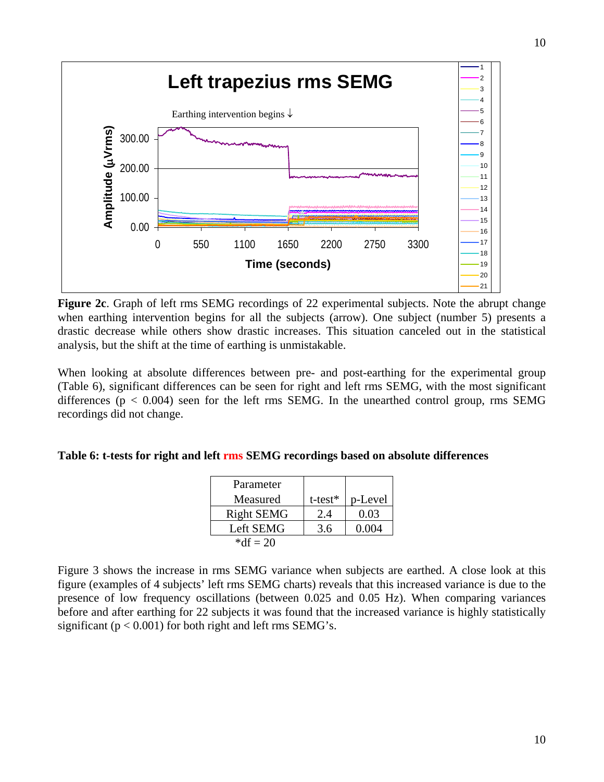

Figure 2c. Graph of left rms SEMG recordings of 22 experimental subjects. Note the abrupt change when earthing intervention begins for all the subjects (arrow). One subject (number 5) presents a drastic decrease while others show drastic increases. This situation canceled out in the statistical analysis, but the shift at the time of earthing is unmistakable.

When looking at absolute differences between pre- and post-earthing for the experimental group (Table 6), significant differences can be seen for right and left rms SEMG, with the most significant differences ( $p < 0.004$ ) seen for the left rms SEMG. In the unearthed control group, rms SEMG recordings did not change.

## **Table 6: t-tests for right and left rms SEMG recordings based on absolute differences**

| Parameter         |               |         |
|-------------------|---------------|---------|
| Measured          | $t$ -test $*$ | p-Level |
| <b>Right SEMG</b> | 2.4           | 0.03    |
| Left SEMG         | 3.6           | 0.004   |
| * $df = 20$       |               |         |

Figure 3 shows the increase in rms SEMG variance when subjects are earthed. A close look at this figure (examples of 4 subjects' left rms SEMG charts) reveals that this increased variance is due to the presence of low frequency oscillations (between 0.025 and 0.05 Hz). When comparing variances before and after earthing for 22 subjects it was found that the increased variance is highly statistically significant ( $p < 0.001$ ) for both right and left rms SEMG's.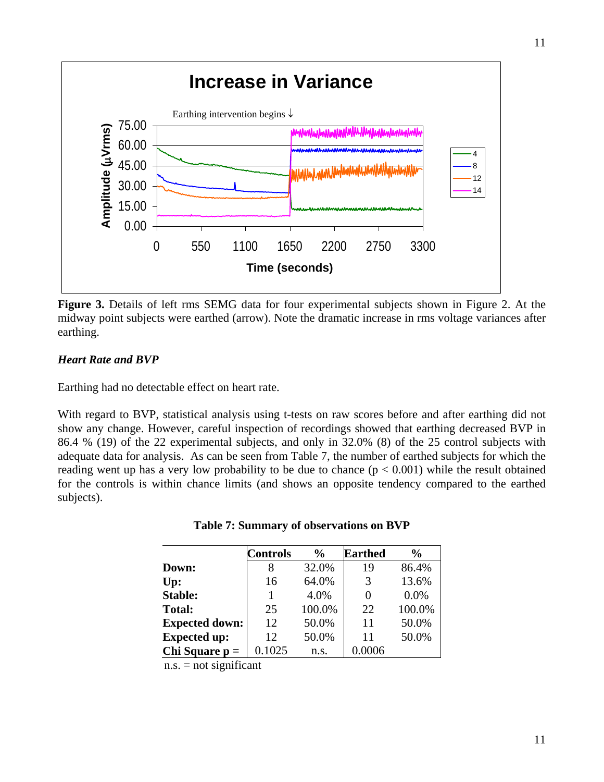

Figure 3. Details of left rms SEMG data for four experimental subjects shown in Figure 2. At the midway point subjects were earthed (arrow). Note the dramatic increase in rms voltage variances after earthing.

# *Heart Rate and BVP*

Earthing had no detectable effect on heart rate.

With regard to BVP, statistical analysis using t-tests on raw scores before and after earthing did not show any change. However, careful inspection of recordings showed that earthing decreased BVP in 86.4 % (19) of the 22 experimental subjects, and only in 32.0% (8) of the 25 control subjects with adequate data for analysis. As can be seen from Table 7, the number of earthed subjects for which the reading went up has a very low probability to be due to chance  $(p < 0.001)$  while the result obtained for the controls is within chance limits (and shows an opposite tendency compared to the earthed subjects).

|                       | <b>Controls</b> | $\frac{6}{6}$ | <b>Earthed</b> | $\frac{0}{0}$ |
|-----------------------|-----------------|---------------|----------------|---------------|
| Down:                 | 8               | 32.0%         | 19             | 86.4%         |
| Up:                   | 16              | 64.0%         | 3              | 13.6%         |
| <b>Stable:</b>        | 1               | 4.0%          | 0              | $0.0\%$       |
| <b>Total:</b>         | 25              | 100.0%        | 22             | 100.0%        |
| <b>Expected down:</b> | 12              | 50.0%         | 11             | 50.0%         |
| <b>Expected up:</b>   | 12              | 50.0%         | 11             | 50.0%         |
| Chi Square $p =$      | 0.1025          | n.s.          | 0.0006         |               |

 $n.s. = not significant$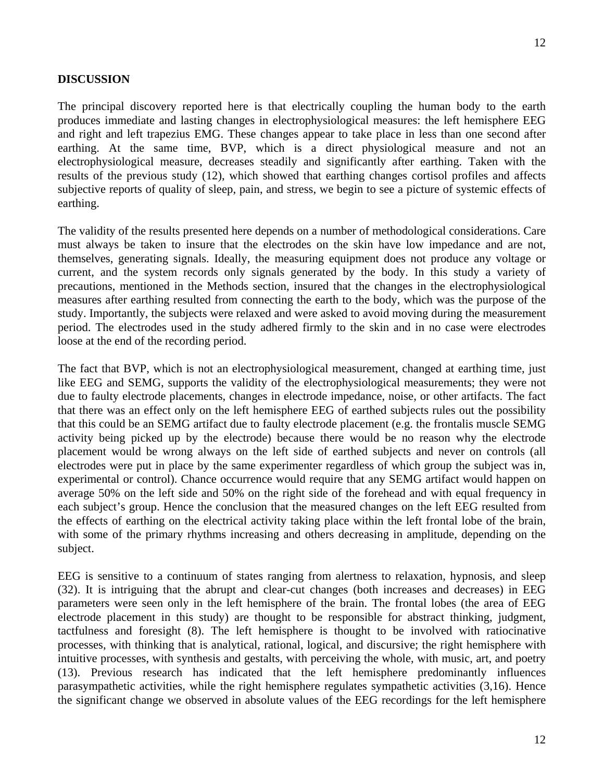## **DISCUSSION**

The principal discovery reported here is that electrically coupling the human body to the earth produces immediate and lasting changes in electrophysiological measures: the left hemisphere EEG and right and left trapezius EMG. These changes appear to take place in less than one second after earthing. At the same time, BVP, which is a direct physiological measure and not an electrophysiological measure, decreases steadily and significantly after earthing. Taken with the results of the previous study (12), which showed that earthing changes cortisol profiles and affects subjective reports of quality of sleep, pain, and stress, we begin to see a picture of systemic effects of earthing.

The validity of the results presented here depends on a number of methodological considerations. Care must always be taken to insure that the electrodes on the skin have low impedance and are not, themselves, generating signals. Ideally, the measuring equipment does not produce any voltage or current, and the system records only signals generated by the body. In this study a variety of precautions, mentioned in the Methods section, insured that the changes in the electrophysiological measures after earthing resulted from connecting the earth to the body, which was the purpose of the study. Importantly, the subjects were relaxed and were asked to avoid moving during the measurement period. The electrodes used in the study adhered firmly to the skin and in no case were electrodes loose at the end of the recording period.

The fact that BVP, which is not an electrophysiological measurement, changed at earthing time, just like EEG and SEMG, supports the validity of the electrophysiological measurements; they were not due to faulty electrode placements, changes in electrode impedance, noise, or other artifacts. The fact that there was an effect only on the left hemisphere EEG of earthed subjects rules out the possibility that this could be an SEMG artifact due to faulty electrode placement (e.g. the frontalis muscle SEMG activity being picked up by the electrode) because there would be no reason why the electrode placement would be wrong always on the left side of earthed subjects and never on controls (all electrodes were put in place by the same experimenter regardless of which group the subject was in, experimental or control). Chance occurrence would require that any SEMG artifact would happen on average 50% on the left side and 50% on the right side of the forehead and with equal frequency in each subject's group. Hence the conclusion that the measured changes on the left EEG resulted from the effects of earthing on the electrical activity taking place within the left frontal lobe of the brain, with some of the primary rhythms increasing and others decreasing in amplitude, depending on the subject.

EEG is sensitive to a continuum of states ranging from alertness to relaxation, hypnosis, and sleep (32). It is intriguing that the abrupt and clear-cut changes (both increases and decreases) in EEG parameters were seen only in the left hemisphere of the brain. The frontal lobes (the area of EEG electrode placement in this study) are thought to be responsible for abstract thinking, judgment, tactfulness and foresight (8). The left hemisphere is thought to be involved with ratiocinative processes, with thinking that is analytical, rational, logical, and discursive; the right hemisphere with intuitive processes, with synthesis and gestalts, with perceiving the whole, with music, art, and poetry (13). Previous research has indicated that the left hemisphere predominantly influences parasympathetic activities, while the right hemisphere regulates sympathetic activities (3,16). Hence the significant change we observed in absolute values of the EEG recordings for the left hemisphere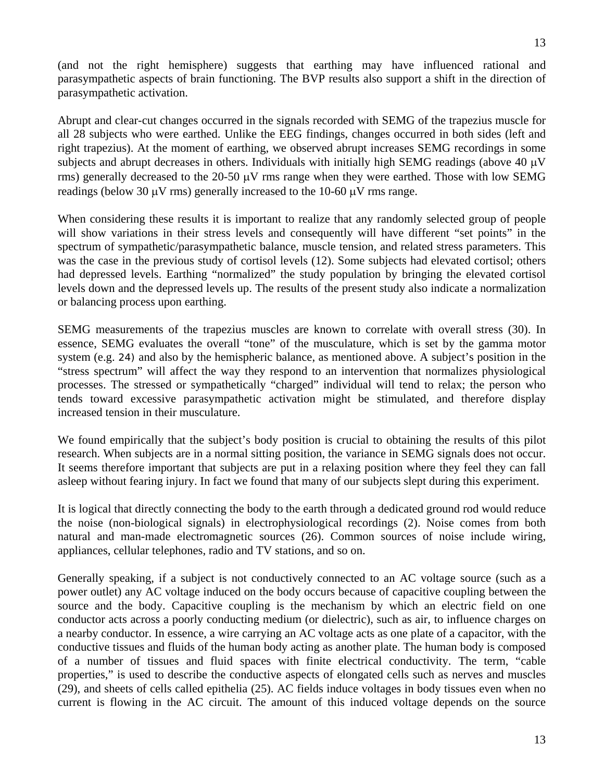(and not the right hemisphere) suggests that earthing may have influenced rational and parasympathetic aspects of brain functioning. The BVP results also support a shift in the direction of parasympathetic activation.

Abrupt and clear-cut changes occurred in the signals recorded with SEMG of the trapezius muscle for all 28 subjects who were earthed. Unlike the EEG findings, changes occurred in both sides (left and right trapezius). At the moment of earthing, we observed abrupt increases SEMG recordings in some subjects and abrupt decreases in others. Individuals with initially high SEMG readings (above 40 μV rms) generally decreased to the 20-50  $\mu$ V rms range when they were earthed. Those with low SEMG readings (below 30  $\mu$ V rms) generally increased to the 10-60  $\mu$ V rms range.

When considering these results it is important to realize that any randomly selected group of people will show variations in their stress levels and consequently will have different "set points" in the spectrum of sympathetic/parasympathetic balance, muscle tension, and related stress parameters. This was the case in the previous study of cortisol levels (12). Some subjects had elevated cortisol; others had depressed levels. Earthing "normalized" the study population by bringing the elevated cortisol levels down and the depressed levels up. The results of the present study also indicate a normalization or balancing process upon earthing.

SEMG measurements of the trapezius muscles are known to correlate with overall stress (30). In essence, SEMG evaluates the overall "tone" of the musculature, which is set by the gamma motor system (e.g. 24) and also by the hemispheric balance, as mentioned above. A subject's position in the "stress spectrum" will affect the way they respond to an intervention that normalizes physiological processes. The stressed or sympathetically "charged" individual will tend to relax; the person who tends toward excessive parasympathetic activation might be stimulated, and therefore display increased tension in their musculature.

We found empirically that the subject's body position is crucial to obtaining the results of this pilot research. When subjects are in a normal sitting position, the variance in SEMG signals does not occur. It seems therefore important that subjects are put in a relaxing position where they feel they can fall asleep without fearing injury. In fact we found that many of our subjects slept during this experiment.

It is logical that directly connecting the body to the earth through a dedicated ground rod would reduce the noise (non-biological signals) in electrophysiological recordings (2). Noise comes from both natural and man-made electromagnetic sources (26). Common sources of noise include wiring, appliances, cellular telephones, radio and TV stations, and so on.

Generally speaking, if a subject is not conductively connected to an AC voltage source (such as a power outlet) any AC voltage induced on the body occurs because of capacitive coupling between the source and the body. Capacitive coupling is the mechanism by which an electric field on one conductor acts across a poorly conducting medium (or dielectric), such as air, to influence charges on a nearby conductor. In essence, a wire carrying an AC voltage acts as one plate of a capacitor, with the conductive tissues and fluids of the human body acting as another plate. The human body is composed of a number of tissues and fluid spaces with finite electrical conductivity. The term, "cable properties," is used to describe the conductive aspects of elongated cells such as nerves and muscles (29), and sheets of cells called epithelia (25). AC fields induce voltages in body tissues even when no current is flowing in the AC circuit. The amount of this induced voltage depends on the source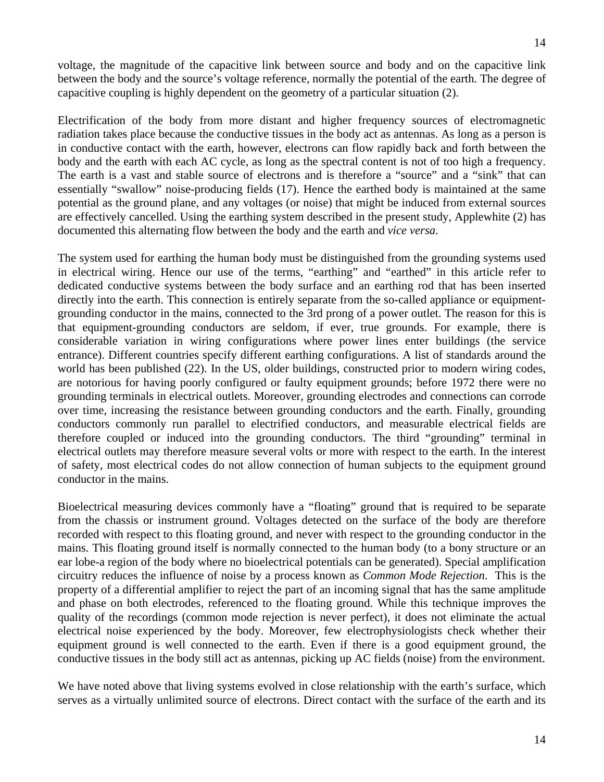voltage, the magnitude of the capacitive link between source and body and on the capacitive link between the body and the source's voltage reference, normally the potential of the earth. The degree of

capacitive coupling is highly dependent on the geometry of a particular situation (2). Electrification of the body from more distant and higher frequency sources of electromagnetic radiation takes place because the conductive tissues in the body act as antennas. As long as a person is in conductive contact with the earth, however, electrons can flow rapidly back and forth between the body and the earth with each AC cycle, as long as the spectral content is not of too high a frequency. The earth is a vast and stable source of electrons and is therefore a "source" and a "sink" that can essentially "swallow" noise-producing fields (17). Hence the earthed body is maintained at the same

potential as the ground plane, and any voltages (or noise) that might be induced from external sources are effectively cancelled. Using the earthing system described in the present study, Applewhite (2) has

documented this alternating flow between the body and the earth and *vice versa*.

The system used for earthing the human body must be distinguished from the grounding systems used in electrical wiring. Hence our use of the terms, "earthing" and "earthed" in this article refer to dedicated conductive systems between the body surface and an earthing rod that has been inserted directly into the earth. This connection is entirely separate from the so-called appliance or equipmentgrounding conductor in the mains, connected to the 3rd prong of a power outlet. The reason for this is that equipment-grounding conductors are seldom, if ever, true grounds. For example, there is considerable variation in wiring configurations where power lines enter buildings (the service entrance). Different countries specify different earthing configurations. A list of standards around the world has been published (22). In the US, older buildings, constructed prior to modern wiring codes, are notorious for having poorly configured or faulty equipment grounds; before 1972 there were no grounding terminals in electrical outlets. Moreover, grounding electrodes and connections can corrode over time, increasing the resistance between grounding conductors and the earth. Finally, grounding conductors commonly run parallel to electrified conductors, and measurable electrical fields are therefore coupled or induced into the grounding conductors. The third "grounding" terminal in electrical outlets may therefore measure several volts or more with respect to the earth. In the interest of safety, most electrical codes do not allow connection of human subjects to the equipment ground conductor in the mains.

Bioelectrical measuring devices commonly have a "floating" ground that is required to be separate from the chassis or instrument ground. Voltages detected on the surface of the body are therefore recorded with respect to this floating ground, and never with respect to the grounding conductor in the mains. This floating ground itself is normally connected to the human body (to a bony structure or an ear lobe-a region of the body where no bioelectrical potentials can be generated). Special amplification circuitry reduces the influence of noise by a process known as *Common Mode Rejection*. This is the property of a differential amplifier to reject the part of an incoming signal that has the same amplitude and phase on both electrodes, referenced to the floating ground. While this technique improves the quality of the recordings (common mode rejection is never perfect), it does not eliminate the actual electrical noise experienced by the body. Moreover, few electrophysiologists check whether their equipment ground is well connected to the earth. Even if there is a good equipment ground, the conductive tissues in the body still act as antennas, picking up AC fields (noise) from the environment.

We have noted above that living systems evolved in close relationship with the earth's surface, which serves as a virtually unlimited source of electrons. Direct contact with the surface of the earth and its

14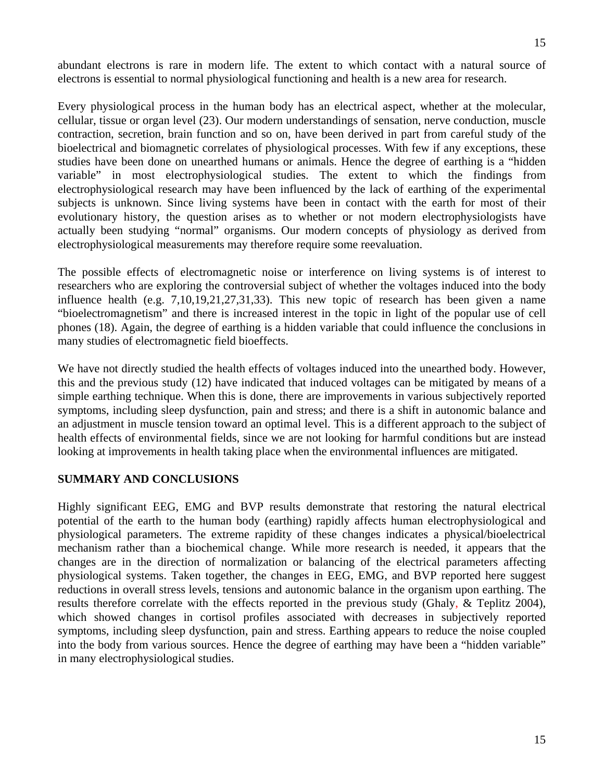abundant electrons is rare in modern life. The extent to which contact with a natural source of electrons is essential to normal physiological functioning and health is a new area for research.

Every physiological process in the human body has an electrical aspect, whether at the molecular, cellular, tissue or organ level (23). Our modern understandings of sensation, nerve conduction, muscle contraction, secretion, brain function and so on, have been derived in part from careful study of the bioelectrical and biomagnetic correlates of physiological processes. With few if any exceptions, these studies have been done on unearthed humans or animals. Hence the degree of earthing is a "hidden variable" in most electrophysiological studies. The extent to which the findings from electrophysiological research may have been influenced by the lack of earthing of the experimental subjects is unknown. Since living systems have been in contact with the earth for most of their evolutionary history, the question arises as to whether or not modern electrophysiologists have actually been studying "normal" organisms. Our modern concepts of physiology as derived from electrophysiological measurements may therefore require some reevaluation.

The possible effects of electromagnetic noise or interference on living systems is of interest to researchers who are exploring the controversial subject of whether the voltages induced into the body influence health (e.g. 7,10,19,21,27,31,33). This new topic of research has been given a name "bioelectromagnetism" and there is increased interest in the topic in light of the popular use of cell phones (18). Again, the degree of earthing is a hidden variable that could influence the conclusions in many studies of electromagnetic field bioeffects.

We have not directly studied the health effects of voltages induced into the unearthed body. However, this and the previous study (12) have indicated that induced voltages can be mitigated by means of a simple earthing technique. When this is done, there are improvements in various subjectively reported symptoms, including sleep dysfunction, pain and stress; and there is a shift in autonomic balance and an adjustment in muscle tension toward an optimal level. This is a different approach to the subject of health effects of environmental fields, since we are not looking for harmful conditions but are instead looking at improvements in health taking place when the environmental influences are mitigated.

# **SUMMARY AND CONCLUSIONS**

Highly significant EEG, EMG and BVP results demonstrate that restoring the natural electrical potential of the earth to the human body (earthing) rapidly affects human electrophysiological and physiological parameters. The extreme rapidity of these changes indicates a physical/bioelectrical mechanism rather than a biochemical change. While more research is needed, it appears that the changes are in the direction of normalization or balancing of the electrical parameters affecting physiological systems. Taken together, the changes in EEG, EMG, and BVP reported here suggest reductions in overall stress levels, tensions and autonomic balance in the organism upon earthing. The results therefore correlate with the effects reported in the previous study (Ghaly, & Teplitz 2004), which showed changes in cortisol profiles associated with decreases in subjectively reported symptoms, including sleep dysfunction, pain and stress. Earthing appears to reduce the noise coupled into the body from various sources. Hence the degree of earthing may have been a "hidden variable" in many electrophysiological studies.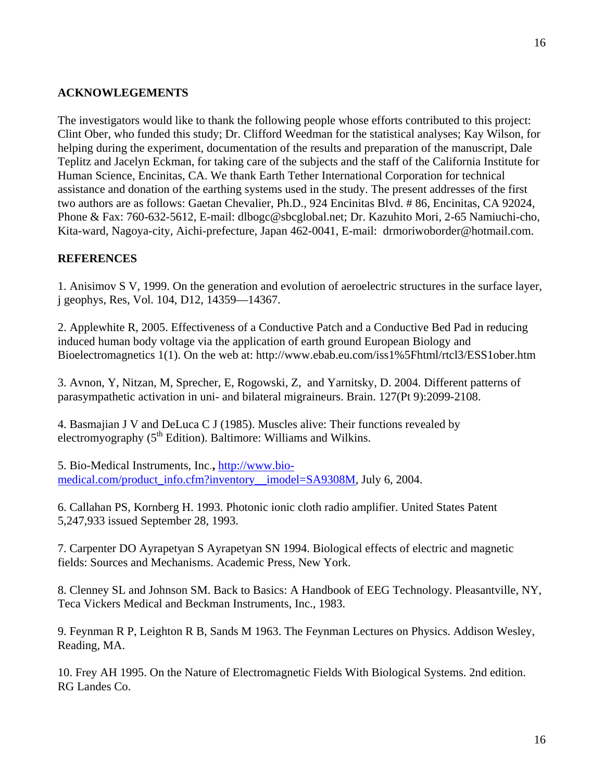## **ACKNOWLEGEMENTS**

The investigators would like to thank the following people whose efforts contributed to this project: Clint Ober, who funded this study; Dr. Clifford Weedman for the statistical analyses; Kay Wilson, for helping during the experiment, documentation of the results and preparation of the manuscript, Dale Teplitz and Jacelyn Eckman, for taking care of the subjects and the staff of the California Institute for Human Science, Encinitas, CA. We thank Earth Tether International Corporation for technical assistance and donation of the earthing systems used in the study. The present addresses of the first two authors are as follows: Gaetan Chevalier, Ph.D., 924 Encinitas Blvd. # 86, Encinitas, CA 92024, Phone & Fax: 760-632-5612, E-mail: dlbogc@sbcglobal.net; Dr. Kazuhito Mori, 2-65 Namiuchi-cho, Kita-ward, Nagoya-city, Aichi-prefecture, Japan 462-0041, E-mail: drmoriwoborder@hotmail.com.

### **REFERENCES**

1. Anisimov S V, 1999. On the generation and evolution of aeroelectric structures in the surface layer, j geophys, Res, Vol. 104, D12, 14359—14367.

2. Applewhite R, 2005. Effectiveness of a Conductive Patch and a Conductive Bed Pad in reducing induced human body voltage via the application of earth ground European Biology and Bioelectromagnetics 1(1). On the web at: http://www.ebab.eu.com/iss1%5Fhtml/rtcl3/ESS1ober.htm

3. Avnon, Y, Nitzan, M, Sprecher, E, Rogowski, Z, and Yarnitsky, D. 2004. Different patterns of parasympathetic activation in uni- and bilateral migraineurs. Brain. 127(Pt 9):2099-2108.

4. Basmajian J V and DeLuca C J (1985). Muscles alive: Their functions revealed by electromyography  $(5<sup>th</sup> Edition)$ . Baltimore: Williams and Wilkins.

5. Bio-Medical Instruments, Inc.**,** http://www.biomedical.com/product\_info.cfm?inventory\_imodel=SA9308M, July 6, 2004.

6. Callahan PS, Kornberg H. 1993. Photonic ionic cloth radio amplifier. United States Patent 5,247,933 issued September 28, 1993.

7. Carpenter DO Ayrapetyan S Ayrapetyan SN 1994. Biological effects of electric and magnetic fields: Sources and Mechanisms. Academic Press, New York.

8. Clenney SL and Johnson SM. Back to Basics: A Handbook of EEG Technology. Pleasantville, NY, Teca Vickers Medical and Beckman Instruments, Inc., 1983.

9. Feynman R P, Leighton R B, Sands M 1963. The Feynman Lectures on Physics. Addison Wesley, Reading, MA.

10. Frey AH 1995. On the Nature of Electromagnetic Fields With Biological Systems. 2nd edition. RG Landes Co.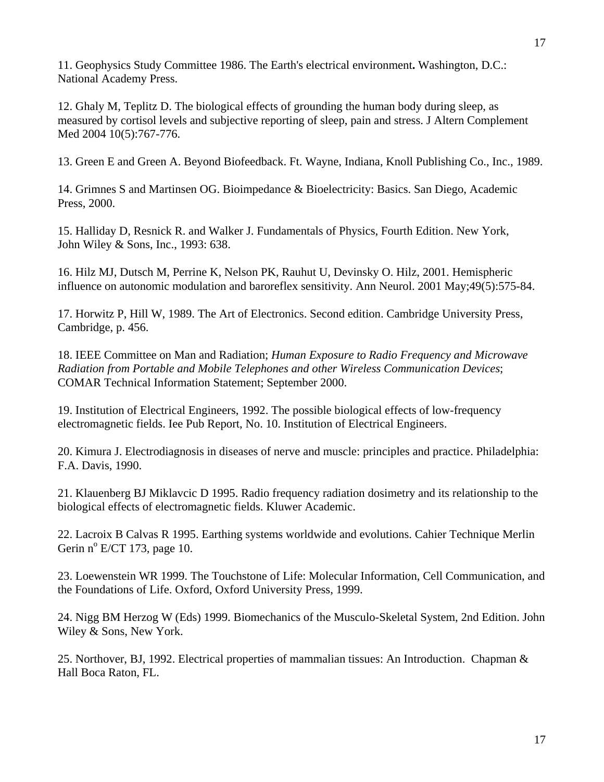11. Geophysics Study Committee 1986. The Earth's electrical environment**.** Washington, D.C.: National Academy Press.

12. Ghaly M, Teplitz D. The biological effects of grounding the human body during sleep, as measured by cortisol levels and subjective reporting of sleep, pain and stress. J Altern Complement Med 2004 10(5):767-776.

13. Green E and Green A. Beyond Biofeedback. Ft. Wayne, Indiana, Knoll Publishing Co., Inc., 1989.

14. Grimnes S and Martinsen OG. Bioimpedance & Bioelectricity: Basics. San Diego, Academic Press, 2000.

15. Halliday D, Resnick R. and Walker J. Fundamentals of Physics, Fourth Edition. New York, John Wiley & Sons, Inc., 1993: 638.

16. Hilz MJ, Dutsch M, Perrine K, Nelson PK, Rauhut U, Devinsky O. Hilz, 2001. Hemispheric influence on autonomic modulation and baroreflex sensitivity. Ann Neurol. 2001 May;49(5):575-84.

17. Horwitz P, Hill W, 1989. The Art of Electronics. Second edition. Cambridge University Press, Cambridge, p. 456.

18. IEEE Committee on Man and Radiation; *Human Exposure to Radio Frequency and Microwave Radiation from Portable and Mobile Telephones and other Wireless Communication Devices*; COMAR Technical Information Statement; September 2000.

19. Institution of Electrical Engineers, 1992. The possible biological effects of low-frequency electromagnetic fields. Iee Pub Report, No. 10. Institution of Electrical Engineers.

20. Kimura J. Electrodiagnosis in diseases of nerve and muscle: principles and practice. Philadelphia: F.A. Davis, 1990.

21. Klauenberg BJ Miklavcic D 1995. Radio frequency radiation dosimetry and its relationship to the biological effects of electromagnetic fields. Kluwer Academic.

22. Lacroix B Calvas R 1995. Earthing systems worldwide and evolutions. Cahier Technique Merlin Gerin nº E/CT 173, page 10.

23. Loewenstein WR 1999. The Touchstone of Life: Molecular Information, Cell Communication, and the Foundations of Life. Oxford, Oxford University Press, 1999.

24. Nigg BM Herzog W (Eds) 1999. Biomechanics of the Musculo-Skeletal System, 2nd Edition. John Wiley & Sons, New York.

25. Northover, BJ, 1992. Electrical properties of mammalian tissues: An Introduction. Chapman & Hall Boca Raton, FL.